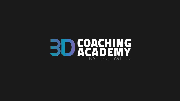## **BD GOACHING** BY CoachWhizz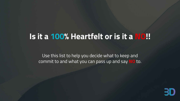## **Is it a 100% Heartfelt or is it a NO!!**

Use this list to help you decide what to keep and commit to and what you can pass up and say **NO** to.

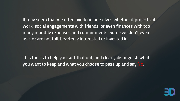**It may seem that we often overload ourselves whether it projects at work, social engagements with friends, or even finances with too many monthly expenses and commitments. Some we don't even use, or are not full-heartedly interested or invested in.**

**This tool is to help you sort that out, and clearly distinguish what you want to keep and what you choose to pass up and say No.**

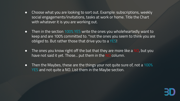- Choose what you are looking to sort out. Example: subscriptions, weekly social engagements/invitations, tasks at work or home. Title the Chart with whatever it is you are working out.
- Then in the section 100% YES write the ones you wholeheartedly want to keep and are 100% committed to. \*not the ones you seem to think you are obliged to. But rather those that drive you to a YES!
- The ones you know right off the bat that they are more like a NO, but you have not said it yet. Those... put them in the NO column.
- Then the Maybes, these are the things your not quite sure of, not a 100% YES and not quite a NO. List them in the Maybe section.

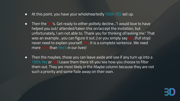- At this point, you have your wholeheartedly 100% YES set up.
- Then the No's. Get ready to either politely decline..."I would love to have helped you out/ attended/taken this on/accept the invitation, but unfortunately, I am not able to. Thank you for thinking of/asking me." That was an example...you can figure it out ;) or you simply say No. (full stop) never need to explain yourself. No. It is a complete sentence. We need more No's than Yes's in our lives!
- Then the maybes, those you can leave aside and see if any turn up into a 100% Yes or No! Leave them there till you see how you choose to filter them out. They are most likely in the Maybe column because they are not such a priority and some fade away on their own.

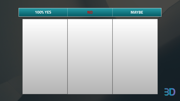| <b>100% YES</b> | <b>NO</b> | <b>MAYBE</b> |  |
|-----------------|-----------|--------------|--|
|                 |           |              |  |
|                 |           |              |  |
|                 |           |              |  |
|                 |           |              |  |
|                 |           |              |  |
|                 |           |              |  |
|                 |           |              |  |
|                 |           |              |  |
|                 |           |              |  |

B